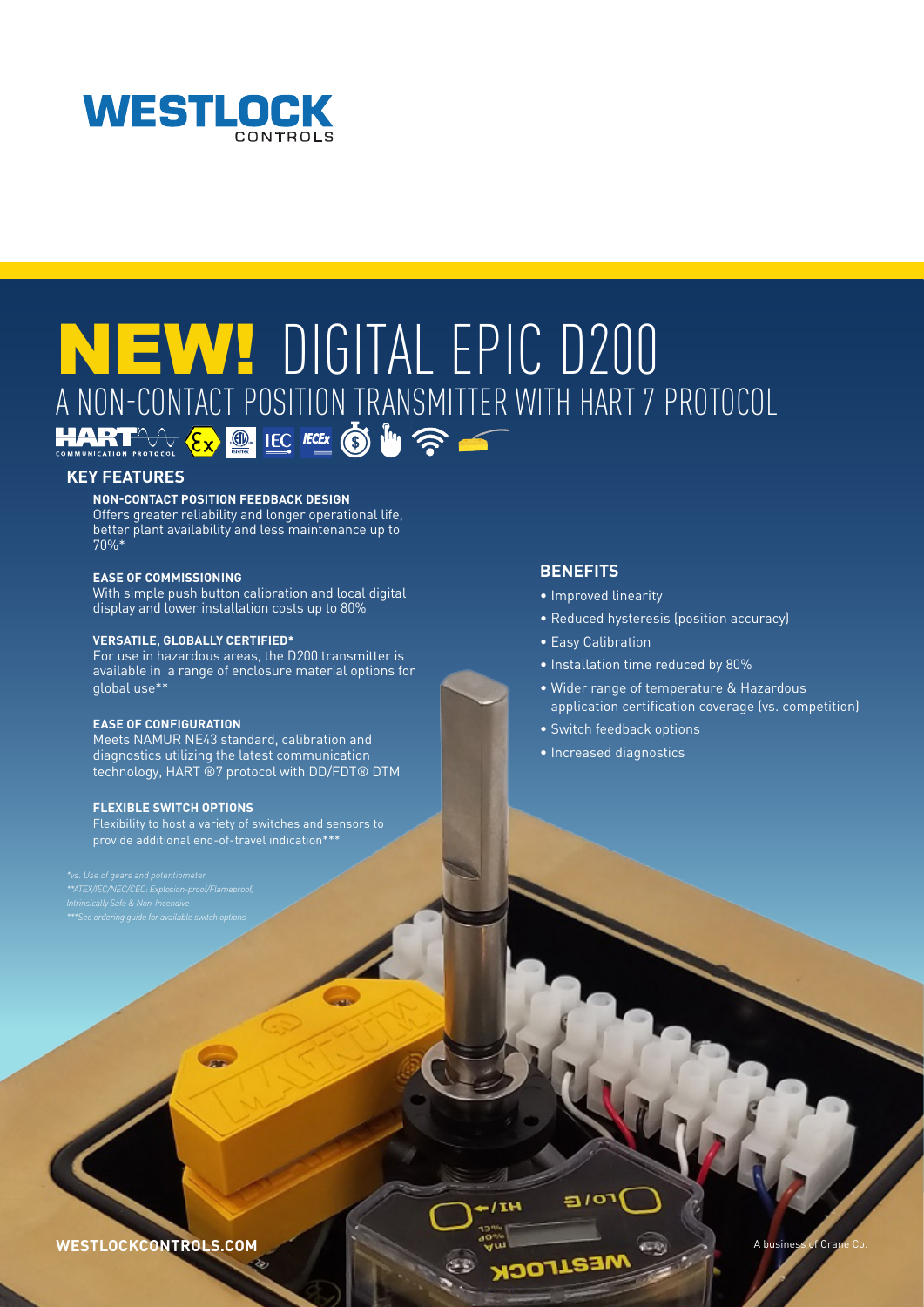

# NEW! DIGITAL EPIC D200 A NON-CONTACT POSITION TRANSMITTER WITH HART 7 PROTOCOL

# **KEY FEATURES**

### **NON-CONTACT POSITION FEEDBACK DESIGN**

Offers greater reliability and longer operational life, better plant availability and less maintenance up to 70%\*

# **EASE OF COMMISSIONING**

With simple push button calibration and local digital display and lower installation costs up to 80%

#### **VERSATILE, GLOBALLY CERTIFIED\***

For use in hazardous areas, the D200 transmitter is available in a range of enclosure material options for global use\*\*

# **EASE OF CONFIGURATION**

Meets NAMUR NE43 standard, calibration and diagnostics utilizing the latest communication technology, HART ®7 protocol with DD/FDT® DTM

# **FLEXIBLE SWITCH OPTIONS**

Flexibility to host a variety of switches and sensors to provide additional end-of-travel indication\*\*\*

*\*\*ATEX/IEC/NEC/CEC: Explosion-proof/Flameproof,* 

# **BENEFITS**

- Improved linearity
- Reduced hysteresis (position accuracy)
- Easy Calibration
- Installation time reduced by 80%
- Wider range of temperature & Hazardous application certification coverage (vs. competition)
- Switch feedback options
- Increased diagnostics

 $1\sigma$ 

 $11H$ 

WESTLOCKCONTROLS.COM **A business of Crane Co. 2019**